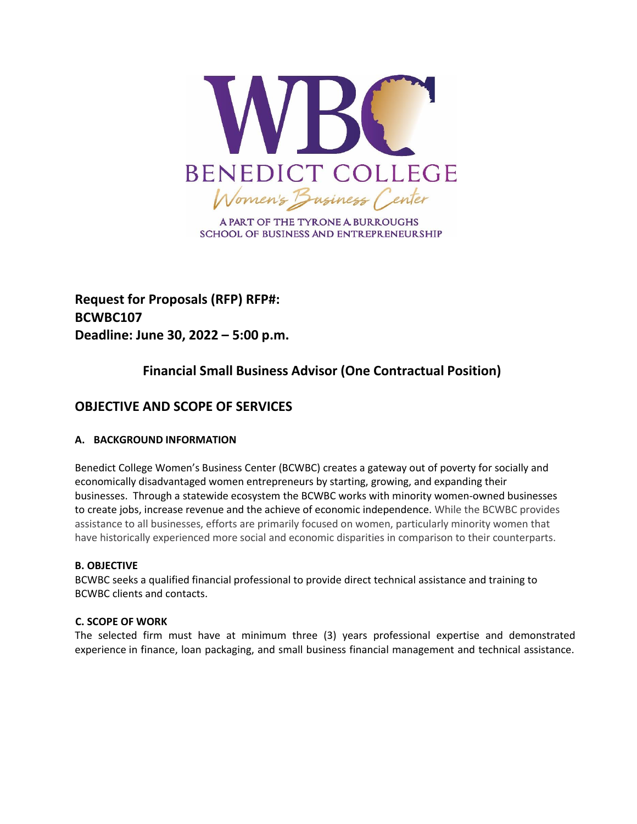

A PART OF THE TYRONE A BURROUGHS **SCHOOL OF BUSINESS AND ENTREPRENEURSHIP** 

**Request for Proposals (RFP) RFP#: BCWBC107 Deadline: June 30, 2022 – 5:00 p.m.**

# **Financial Small Business Advisor (One Contractual Position)**

## **OBJECTIVE AND SCOPE OF SERVICES**

## **A. BACKGROUND INFORMATION**

Benedict College Women's Business Center (BCWBC) creates a gateway out of poverty for socially and economically disadvantaged women entrepreneurs by starting, growing, and expanding their businesses. Through a statewide ecosystem the BCWBC works with minority women-owned businesses to create jobs, increase revenue and the achieve of economic independence. While the BCWBC provides assistance to all businesses, efforts are primarily focused on women, particularly minority women that have historically experienced more social and economic disparities in comparison to their counterparts.

#### **B. OBJECTIVE**

BCWBC seeks a qualified financial professional to provide direct technical assistance and training to BCWBC clients and contacts.

#### **C. SCOPE OF WORK**

The selected firm must have at minimum three (3) years professional expertise and demonstrated experience in finance, loan packaging, and small business financial management and technical assistance.